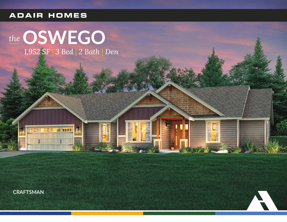## **ADAIR HOMES**

# the OSWEGO 1,952 SF 3 Bed 2 Bath Den

**E I II IEEE** 

H

種人 大道の

 $\overline{5}$ 亂

**CRAFTSMAN** 

计算



Ë